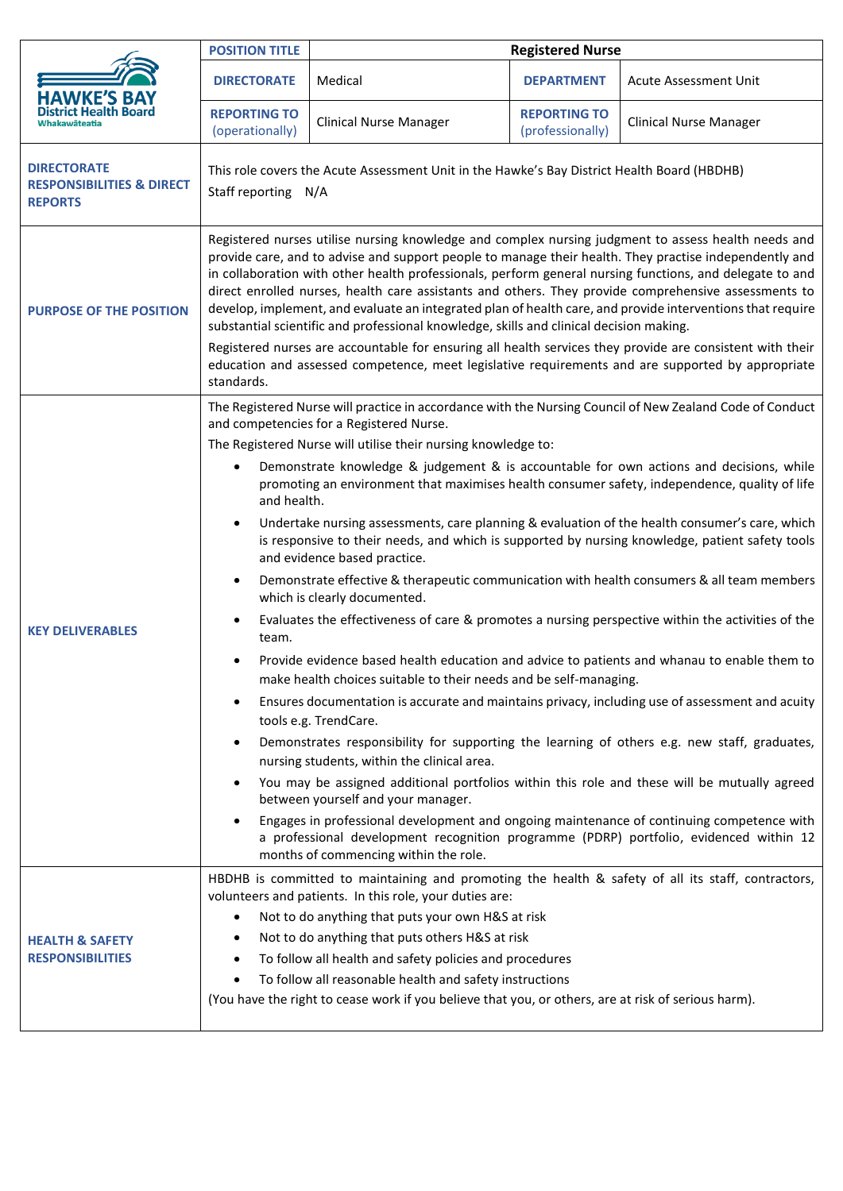|                                                                              | <b>POSITION TITLE</b>                                                                                                                                                                                                                                                                                                                                                                                                                                                                                                                                                                                                                                                                                                                                                                                                                                                                                                                                                                                                                                                                                                                                                                                                                                                                                                                                                                                                                                                                                                                                                                                                                                                                                                                                            | <b>Registered Nurse</b>                                                                                                                                                                                                                                                                                                                                                                      |                                         |                                                                                                    |
|------------------------------------------------------------------------------|------------------------------------------------------------------------------------------------------------------------------------------------------------------------------------------------------------------------------------------------------------------------------------------------------------------------------------------------------------------------------------------------------------------------------------------------------------------------------------------------------------------------------------------------------------------------------------------------------------------------------------------------------------------------------------------------------------------------------------------------------------------------------------------------------------------------------------------------------------------------------------------------------------------------------------------------------------------------------------------------------------------------------------------------------------------------------------------------------------------------------------------------------------------------------------------------------------------------------------------------------------------------------------------------------------------------------------------------------------------------------------------------------------------------------------------------------------------------------------------------------------------------------------------------------------------------------------------------------------------------------------------------------------------------------------------------------------------------------------------------------------------|----------------------------------------------------------------------------------------------------------------------------------------------------------------------------------------------------------------------------------------------------------------------------------------------------------------------------------------------------------------------------------------------|-----------------------------------------|----------------------------------------------------------------------------------------------------|
| HAWKE'S BA`                                                                  | <b>DIRECTORATE</b>                                                                                                                                                                                                                                                                                                                                                                                                                                                                                                                                                                                                                                                                                                                                                                                                                                                                                                                                                                                                                                                                                                                                                                                                                                                                                                                                                                                                                                                                                                                                                                                                                                                                                                                                               | Medical                                                                                                                                                                                                                                                                                                                                                                                      | <b>DEPARTMENT</b>                       | <b>Acute Assessment Unit</b>                                                                       |
|                                                                              | <b>REPORTING TO</b><br>(operationally)                                                                                                                                                                                                                                                                                                                                                                                                                                                                                                                                                                                                                                                                                                                                                                                                                                                                                                                                                                                                                                                                                                                                                                                                                                                                                                                                                                                                                                                                                                                                                                                                                                                                                                                           | <b>Clinical Nurse Manager</b>                                                                                                                                                                                                                                                                                                                                                                | <b>REPORTING TO</b><br>(professionally) | <b>Clinical Nurse Manager</b>                                                                      |
| <b>DIRECTORATE</b><br><b>RESPONSIBILITIES &amp; DIRECT</b><br><b>REPORTS</b> | This role covers the Acute Assessment Unit in the Hawke's Bay District Health Board (HBDHB)<br>Staff reporting N/A                                                                                                                                                                                                                                                                                                                                                                                                                                                                                                                                                                                                                                                                                                                                                                                                                                                                                                                                                                                                                                                                                                                                                                                                                                                                                                                                                                                                                                                                                                                                                                                                                                               |                                                                                                                                                                                                                                                                                                                                                                                              |                                         |                                                                                                    |
| <b>PURPOSE OF THE POSITION</b>                                               | Registered nurses utilise nursing knowledge and complex nursing judgment to assess health needs and<br>provide care, and to advise and support people to manage their health. They practise independently and<br>in collaboration with other health professionals, perform general nursing functions, and delegate to and<br>direct enrolled nurses, health care assistants and others. They provide comprehensive assessments to<br>develop, implement, and evaluate an integrated plan of health care, and provide interventions that require<br>substantial scientific and professional knowledge, skills and clinical decision making.                                                                                                                                                                                                                                                                                                                                                                                                                                                                                                                                                                                                                                                                                                                                                                                                                                                                                                                                                                                                                                                                                                                       |                                                                                                                                                                                                                                                                                                                                                                                              |                                         |                                                                                                    |
|                                                                              | Registered nurses are accountable for ensuring all health services they provide are consistent with their<br>education and assessed competence, meet legislative requirements and are supported by appropriate<br>standards.                                                                                                                                                                                                                                                                                                                                                                                                                                                                                                                                                                                                                                                                                                                                                                                                                                                                                                                                                                                                                                                                                                                                                                                                                                                                                                                                                                                                                                                                                                                                     |                                                                                                                                                                                                                                                                                                                                                                                              |                                         |                                                                                                    |
| <b>KEY DELIVERABLES</b>                                                      | The Registered Nurse will practice in accordance with the Nursing Council of New Zealand Code of Conduct<br>and competencies for a Registered Nurse.<br>The Registered Nurse will utilise their nursing knowledge to:<br>Demonstrate knowledge & judgement & is accountable for own actions and decisions, while<br>promoting an environment that maximises health consumer safety, independence, quality of life<br>and health.<br>Undertake nursing assessments, care planning & evaluation of the health consumer's care, which<br>$\bullet$<br>is responsive to their needs, and which is supported by nursing knowledge, patient safety tools<br>and evidence based practice.<br>Demonstrate effective & therapeutic communication with health consumers & all team members<br>$\bullet$<br>which is clearly documented.<br>Evaluates the effectiveness of care & promotes a nursing perspective within the activities of the<br>team.<br>Provide evidence based health education and advice to patients and whanau to enable them to<br>make health choices suitable to their needs and be self-managing.<br>Ensures documentation is accurate and maintains privacy, including use of assessment and acuity<br>tools e.g. TrendCare.<br>Demonstrates responsibility for supporting the learning of others e.g. new staff, graduates,<br>nursing students, within the clinical area.<br>You may be assigned additional portfolios within this role and these will be mutually agreed<br>between yourself and your manager.<br>Engages in professional development and ongoing maintenance of continuing competence with<br>a professional development recognition programme (PDRP) portfolio, evidenced within 12<br>months of commencing within the role. |                                                                                                                                                                                                                                                                                                                                                                                              |                                         |                                                                                                    |
| <b>HEALTH &amp; SAFETY</b><br><b>RESPONSIBILITIES</b>                        | $\bullet$<br>٠                                                                                                                                                                                                                                                                                                                                                                                                                                                                                                                                                                                                                                                                                                                                                                                                                                                                                                                                                                                                                                                                                                                                                                                                                                                                                                                                                                                                                                                                                                                                                                                                                                                                                                                                                   | volunteers and patients. In this role, your duties are:<br>Not to do anything that puts your own H&S at risk<br>Not to do anything that puts others H&S at risk<br>To follow all health and safety policies and procedures<br>To follow all reasonable health and safety instructions<br>(You have the right to cease work if you believe that you, or others, are at risk of serious harm). |                                         | HBDHB is committed to maintaining and promoting the health & safety of all its staff, contractors, |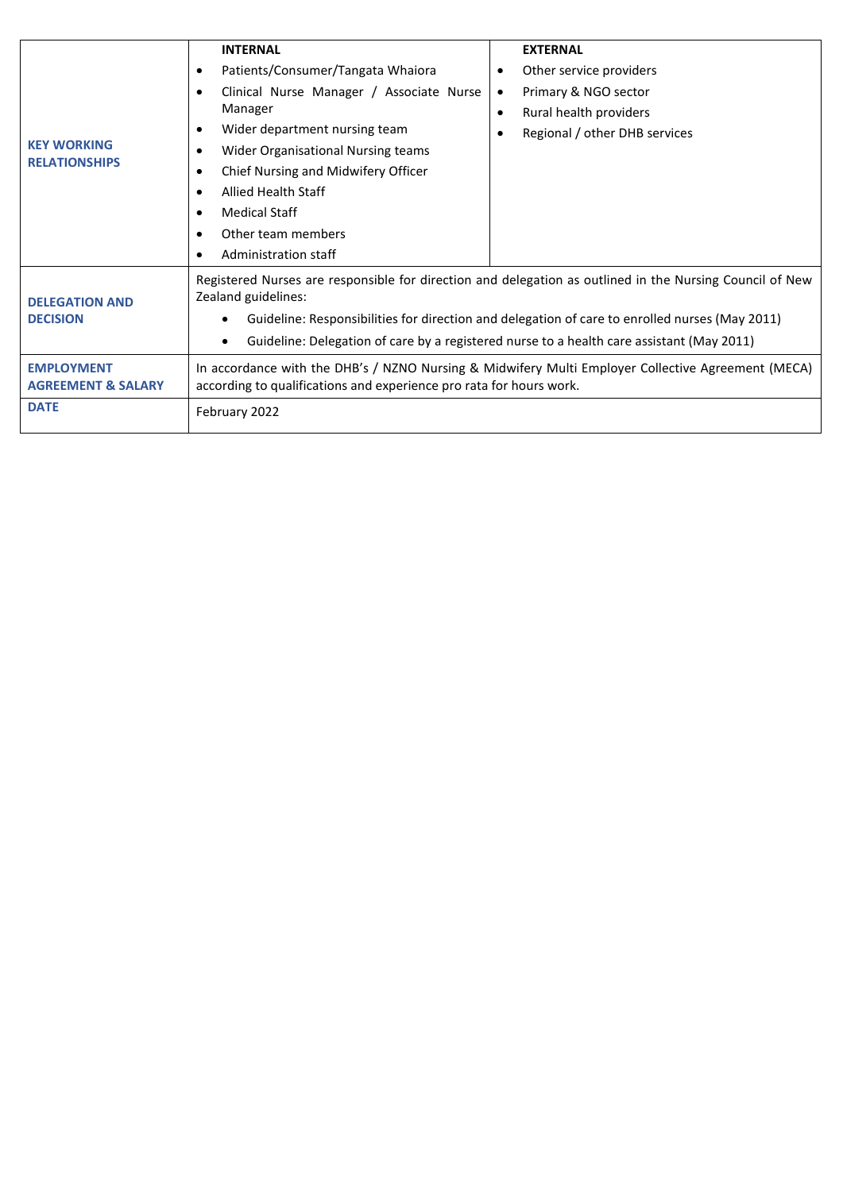|                                                    | <b>INTERNAL</b>                                                                                                                                                           | <b>EXTERNAL</b>               |  |  |  |
|----------------------------------------------------|---------------------------------------------------------------------------------------------------------------------------------------------------------------------------|-------------------------------|--|--|--|
| <b>KEY WORKING</b><br><b>RELATIONSHIPS</b>         | Patients/Consumer/Tangata Whaiora<br>$\bullet$                                                                                                                            | Other service providers       |  |  |  |
|                                                    | Clinical Nurse Manager / Associate Nurse                                                                                                                                  | Primary & NGO sector          |  |  |  |
|                                                    | Manager                                                                                                                                                                   | Rural health providers<br>٠   |  |  |  |
|                                                    | Wider department nursing team                                                                                                                                             | Regional / other DHB services |  |  |  |
|                                                    | Wider Organisational Nursing teams                                                                                                                                        |                               |  |  |  |
|                                                    | Chief Nursing and Midwifery Officer                                                                                                                                       |                               |  |  |  |
|                                                    | <b>Allied Health Staff</b>                                                                                                                                                |                               |  |  |  |
|                                                    | <b>Medical Staff</b>                                                                                                                                                      |                               |  |  |  |
|                                                    | Other team members                                                                                                                                                        |                               |  |  |  |
|                                                    | Administration staff                                                                                                                                                      |                               |  |  |  |
| <b>DELEGATION AND</b><br><b>DECISION</b>           | Registered Nurses are responsible for direction and delegation as outlined in the Nursing Council of New<br>Zealand guidelines:                                           |                               |  |  |  |
|                                                    | Guideline: Responsibilities for direction and delegation of care to enrolled nurses (May 2011)                                                                            |                               |  |  |  |
|                                                    | Guideline: Delegation of care by a registered nurse to a health care assistant (May 2011)                                                                                 |                               |  |  |  |
| <b>EMPLOYMENT</b><br><b>AGREEMENT &amp; SALARY</b> | In accordance with the DHB's / NZNO Nursing & Midwifery Multi Employer Collective Agreement (MECA)<br>according to qualifications and experience pro rata for hours work. |                               |  |  |  |
| <b>DATE</b>                                        | February 2022                                                                                                                                                             |                               |  |  |  |